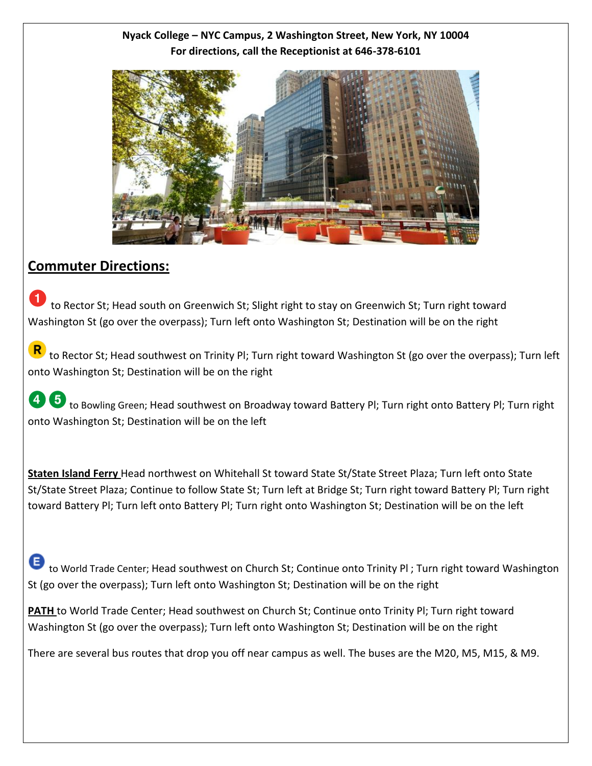### **Nyack College – NYC Campus, 2 Washington Street, New York, NY 10004 For directions, call the Receptionist at 646-378-6101**



# **Commuter Directions:**

 to Rector St; Head south on Greenwich St; Slight right to stay on Greenwich St; Turn right toward Washington St (go over the overpass); Turn left onto Washington St; Destination will be on the right 0

 to Rector St; Head southwest on Trinity Pl; Turn right toward Washington St (go over the overpass); Turn left onto Washington St; Destination will be on the right

48 to Bowling Green; Head southwest on Broadway toward Battery Pl; Turn right onto Battery Pl; Turn right onto Washington St; Destination will be on the left

 **Staten Island Ferry** Head northwest on Whitehall St toward State St/State Street Plaza; Turn left onto State St/State Street Plaza; Continue to follow State St; Turn left at Bridge St; Turn right toward Battery Pl; Turn right toward Battery Pl; Turn left onto Battery Pl; Turn right onto Washington St; Destination will be on the left

 to World Trade Center; Head southwest on Church St; Continue onto Trinity Pl ; Turn right toward Washington St (go over the overpass); Turn left onto Washington St; Destination will be on the right

 **PATH** to World Trade Center; Head southwest on Church St; Continue onto Trinity Pl; Turn right toward Washington St (go over the overpass); Turn left onto Washington St; Destination will be on the right

There are several bus routes that drop you off near campus as well. The buses are the M20, M5, M15, & M9.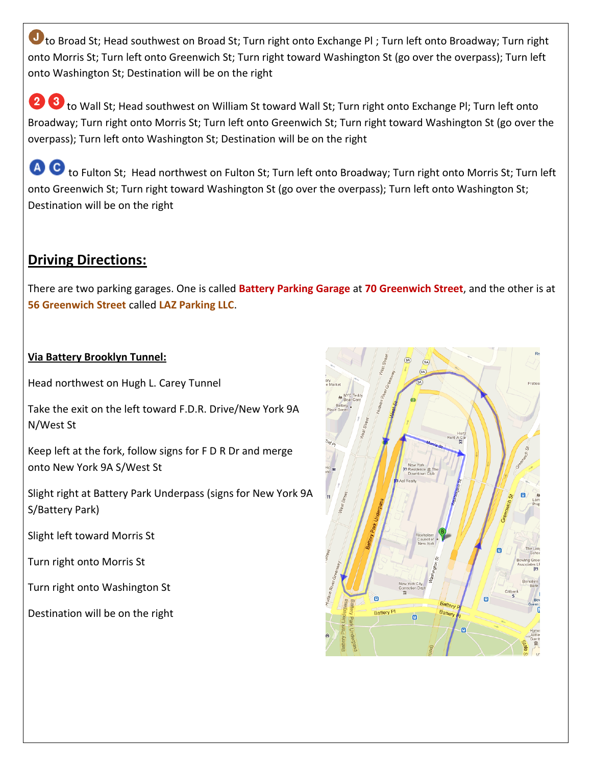to Broad St; Head southwest on Broad St; Turn right onto Exchange PI; Turn left onto Broadway; Turn right onto Morris St; Turn left onto Greenwich St; Turn right toward Washington St (go over the overpass); Turn left onto Washington St; Destination will be on the right

2 8 to Wall St; Head southwest on William St toward Wall St; Turn right onto Exchange PI; Turn left onto Broadway; Turn right onto Morris St; Turn left onto Greenwich St; Turn right toward Washington St (go over the overpass); Turn left onto Washington St; Destination will be on the right

4 O to Fulton St; Head northwest on Fulton St; Turn left onto Broadway; Turn right onto Morris St; Turn left onto Greenwich St; Turn right toward Washington St (go over the overpass); Turn left onto Washington St; Destination will be on the right

# **Driving Directions:**

There are two parking garages. One is called **Battery Parking Garage at 70 Greenwich Street**, and the other is at 56 Greenwich Street called LAZ Parking LLC.

#### Via Battery Brooklyn Tunnel:

Head northwest on Hugh L. Carey Tunnel

Take the exit on the left toward F.D.R. Drive/New York 9A N/West St

Keep left at the fork, follow signs for F D R Dr and merge onto New York 9A S/West St

Slight right at Battery Park Underpass (signs for New York 9A S/Battery Park)

Slight left toward Morris St

Turn right onto Morris St

Turn right onto Washington St

Destination will be on the right

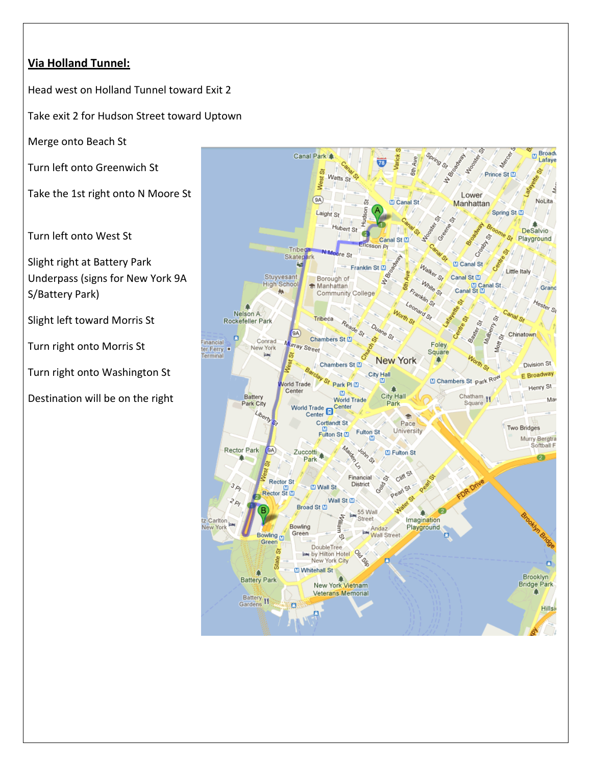## **Via Holland Tunnel:**

Head west on Holland Tunnel toward Exit 2

Take exit 2 for Hudson Street toward Uptown

Merge onto Beach St

Turn left onto Greenwich St

Take the 1st right onto N Moore St

Turn left onto West St

Slight right at Battery Park Underpass (signs for New York 9A S/Battery Park)

Slight left toward Morris St

Turn right onto Morris St

Turn right onto Washington St

Destination will be on the right